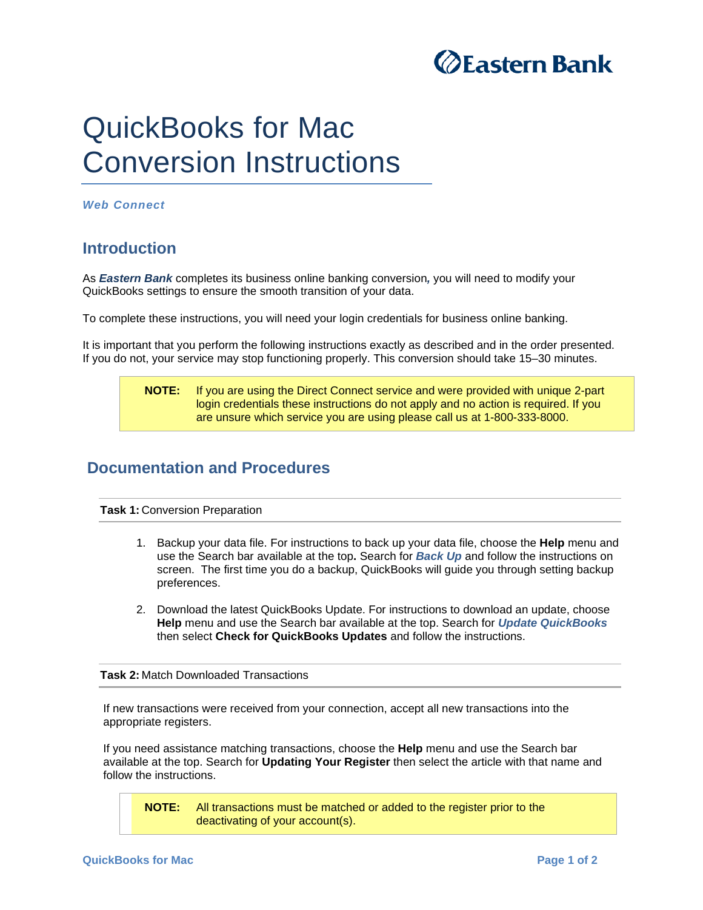

# QuickBooks for Mac Conversion Instructions

*Web Connect* 

## **Introduction**

As *Eastern Bank* completes its business online banking conversion*,* you will need to modify your QuickBooks settings to ensure the smooth transition of your data.

To complete these instructions, you will need your login credentials for business online banking.

It is important that you perform the following instructions exactly as described and in the order presented. If you do not, your service may stop functioning properly. This conversion should take 15–30 minutes.

### **NOTE:** If you are using the Direct Connect service and were provided with unique 2-part login credentials these instructions do not apply and no action is required. If you are unsure which service you are using please call us at 1-800-333-8000.

## **Documentation and Procedures**

**Task 1: Conversion Preparation** 

- 1. Backup your data file. For instructions to back up your data file, choose the **Help** menu and use the Search bar available at the top**.** Search for *Back Up* and follow the instructions on screen. The first time you do a backup, QuickBooks will guide you through setting backup preferences.
- 2. Download the latest QuickBooks Update. For instructions to download an update, choose **Help** menu and use the Search bar available at the top. Search for *Update QuickBooks* then select **Check for QuickBooks Updates** and follow the instructions.

#### **Task 2:** Match Downloaded Transactions

If new transactions were received from your connection, accept all new transactions into the appropriate registers.

If you need assistance matching transactions, choose the **Help** menu and use the Search bar available at the top. Search for **Updating Your Register** then select the article with that name and follow the instructions.

**NOTE:** All transactions must be matched or added to the register prior to the deactivating of your account(s).